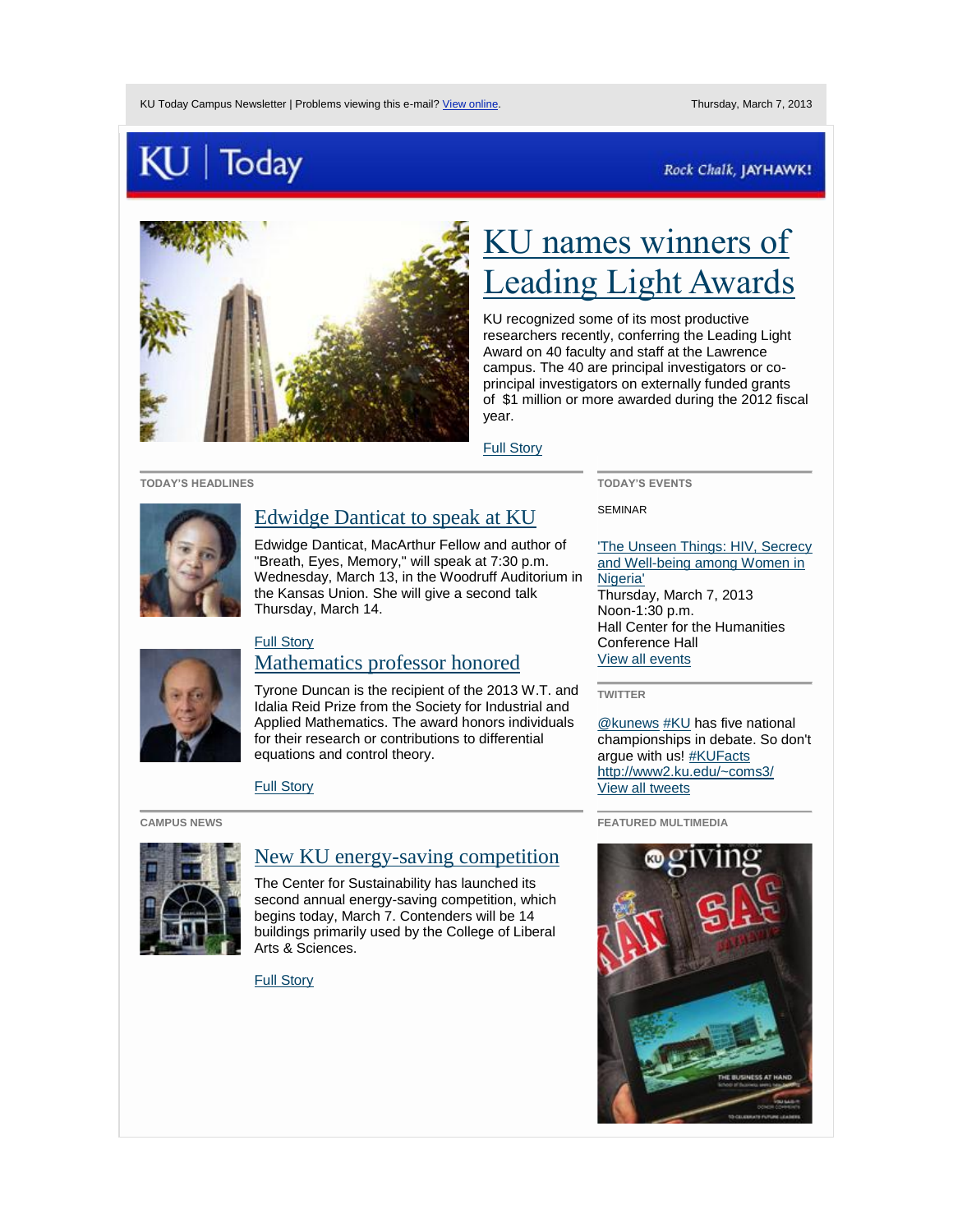# Today

### Rock Chalk, JAYHAWK!



# [KU names winners of](http://today.us2.list-manage.com/track/click?u=be359a42d05a0b6055c05aba4&id=dc1a26d5fa&e=4a0168421a)  [Leading Light Awards](http://today.us2.list-manage.com/track/click?u=be359a42d05a0b6055c05aba4&id=dc1a26d5fa&e=4a0168421a)

KU recognized some of its most productive researchers recently, conferring the Leading Light Award on 40 faculty and staff at the Lawrence campus. The 40 are principal investigators or coprincipal investigators on externally funded grants of \$1 million or more awarded during the 2012 fiscal year.

[Full Story](http://today.us2.list-manage.com/track/click?u=be359a42d05a0b6055c05aba4&id=5e8a46228e&e=4a0168421a) 

**TODAY'S HEADLINES**



## [Edwidge Danticat to speak at KU](http://today.us2.list-manage.com/track/click?u=be359a42d05a0b6055c05aba4&id=40561044a8&e=4a0168421a)

Edwidge Danticat, MacArthur Fellow and author of "Breath, Eyes, Memory," will speak at 7:30 p.m. Wednesday, March 13, in the Woodruff Auditorium in the Kansas Union. She will give a second talk Thursday, March 14.

# **TODAY'S EVENTS**

SEMINAR

['The Unseen Things: HIV, Secrecy](http://today.us2.list-manage.com/track/click?u=be359a42d05a0b6055c05aba4&id=cd1125610b&e=4a0168421a)  [and Well-being among Women in](http://today.us2.list-manage.com/track/click?u=be359a42d05a0b6055c05aba4&id=cd1125610b&e=4a0168421a)  [Nigeria'](http://today.us2.list-manage.com/track/click?u=be359a42d05a0b6055c05aba4&id=cd1125610b&e=4a0168421a) Thursday, March 7, 2013 Noon-1:30 p.m. Hall Center for the Humanities Conference Hall [View all events](http://today.us2.list-manage1.com/track/click?u=be359a42d05a0b6055c05aba4&id=d67918d2c4&e=4a0168421a)

### **TWITTER**

[@kunews](http://today.us2.list-manage.com/track/click?u=be359a42d05a0b6055c05aba4&id=3a0b652e26&e=4a0168421a) [#KU](http://today.us2.list-manage.com/track/click?u=be359a42d05a0b6055c05aba4&id=14373b43e6&e=4a0168421a) has five national championships in debate. So don't argue with us[! #KUFacts](http://today.us2.list-manage.com/track/click?u=be359a42d05a0b6055c05aba4&id=7e9c1bc98e&e=4a0168421a) [http://www2.ku.edu/~coms3/](http://today.us2.list-manage.com/track/click?u=be359a42d05a0b6055c05aba4&id=dacdd399b7&e=4a0168421a) [View all tweets](http://today.us2.list-manage.com/track/click?u=be359a42d05a0b6055c05aba4&id=05f459460e&e=4a0168421a) 

**FEATURED MULTIMEDIA**



## [Full Story](http://today.us2.list-manage1.com/track/click?u=be359a42d05a0b6055c05aba4&id=0ee7e259cc&e=4a0168421a)  [Mathematics professor honored](http://today.us2.list-manage.com/track/click?u=be359a42d05a0b6055c05aba4&id=2ca0a692f0&e=4a0168421a)

Tyrone Duncan is the recipient of the 2013 W.T. and Idalia Reid Prize from the Society for Industrial and Applied Mathematics. The award honors individuals for their research or contributions to differential equations and control theory.

[Full Story](http://today.us2.list-manage1.com/track/click?u=be359a42d05a0b6055c05aba4&id=223de8f85e&e=4a0168421a) 

### **CAMPUS NEWS**



# [New KU energy-saving competition](http://today.us2.list-manage2.com/track/click?u=be359a42d05a0b6055c05aba4&id=8fca87d23f&e=4a0168421a)

The Center for Sustainability has launched its second annual energy-saving competition, which begins today, March 7. Contenders will be 14 buildings primarily used by the College of Liberal Arts & Sciences.

[Full Story](http://today.us2.list-manage1.com/track/click?u=be359a42d05a0b6055c05aba4&id=ca7e342f38&e=4a0168421a)